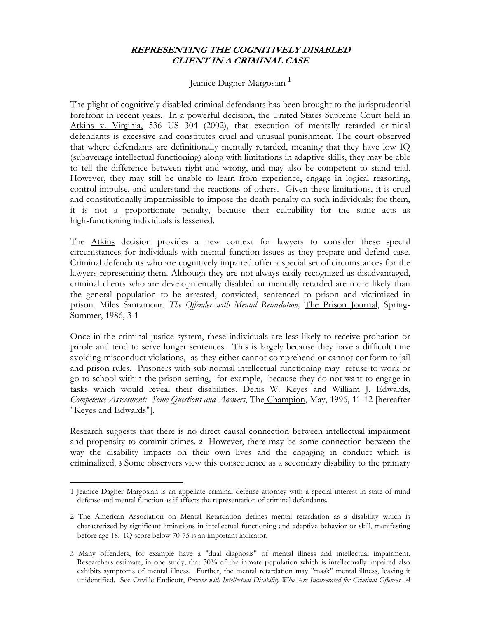## **REPRESENTING THE COGNITIVELY DISABLED CLIENT IN A CRIMINAL CASE**

## Jeanice Dagher-Margosian **<sup>1</sup>**

The plight of cognitively disabled criminal defendants has been brought to the jurisprudential forefront in recent years. In a powerful decision, the United States Supreme Court held in Atkins v. Virginia, 536 US 304 (2002), that execution of mentally retarded criminal defendants is excessive and constitutes cruel and unusual punishment. The court observed that where defendants are definitionally mentally retarded, meaning that they have low IQ (subaverage intellectual functioning) along with limitations in adaptive skills, they may be able to tell the difference between right and wrong, and may also be competent to stand trial. However, they may still be unable to learn from experience, engage in logical reasoning, control impulse, and understand the reactions of others. Given these limitations, it is cruel and constitutionally impermissible to impose the death penalty on such individuals; for them, it is not a proportionate penalty, because their culpability for the same acts as high-functioning individuals is lessened.

The Atkins decision provides a new context for lawyers to consider these special circumstances for individuals with mental function issues as they prepare and defend case. Criminal defendants who are cognitively impaired offer a special set of circumstances for the lawyers representing them. Although they are not always easily recognized as disadvantaged, criminal clients who are developmentally disabled or mentally retarded are more likely than the general population to be arrested, convicted, sentenced to prison and victimized in prison. Miles Santamour, *The Offender with Mental Retardation*, *The Prison Journal*, Spring-Summer, 1986, 3-1

Once in the criminal justice system, these individuals are less likely to receive probation or parole and tend to serve longer sentences. This is largely because they have a difficult time avoiding misconduct violations, as they either cannot comprehend or cannot conform to jail and prison rules. Prisoners with sub-normal intellectual functioning may refuse to work or go to school within the prison setting, for example, because they do not want to engage in tasks which would reveal their disabilities. Denis W. Keyes and William J. Edwards, *Competence Assessment: Some Questions and Answers*, The Champion, May, 1996, 11-12 [hereafter "Keyes and Edwards"].

Research suggests that there is no direct causal connection between intellectual impairment and propensity to commit crimes. **2** However, there may be some connection between the way the disability impacts on their own lives and the engaging in conduct which is criminalized. **3** Some observers view this consequence as a secondary disability to the primary

 $\overline{a}$ 1 Jeanice Dagher Margosian is an appellate criminal defense attorney with a special interest in state-of mind defense and mental function as if affects the representation of criminal defendants.

<sup>2</sup> The American Association on Mental Retardation defines mental retardation as a disability which is characterized by significant limitations in intellectual functioning and adaptive behavior or skill, manifesting before age 18. IQ score below 70-75 is an important indicator.

<sup>3</sup> Many offenders, for example have a "dual diagnosis" of mental illness and intellectual impairment. Researchers estimate, in one study, that 30% of the inmate population which is intellectually impaired also exhibits symptoms of mental illness. Further, the mental retardation may "mask" mental illness, leaving it unidentified. See Orville Endicott, *Persons with Intellectual Disability Who Are Incarcerated for Criminal Offences*: *A*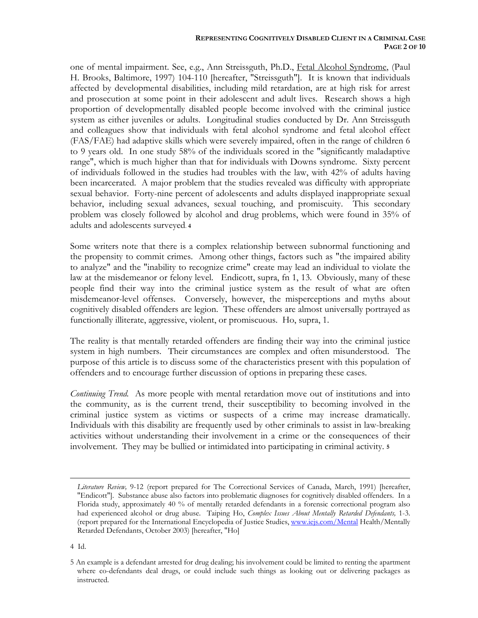one of mental impairment. See, e.g., Ann Streissguth, Ph.D., Fetal Alcohol Syndrome, (Paul H. Brooks, Baltimore, 1997) 104-110 [hereafter, "Streissguth"]. It is known that individuals affected by developmental disabilities, including mild retardation, are at high risk for arrest and prosecution at some point in their adolescent and adult lives. Research shows a high proportion of developmentally disabled people become involved with the criminal justice system as either juveniles or adults. Longitudinal studies conducted by Dr. Ann Streissguth and colleagues show that individuals with fetal alcohol syndrome and fetal alcohol effect (FAS/FAE) had adaptive skills which were severely impaired, often in the range of children 6 to 9 years old. In one study 58% of the individuals scored in the "significantly maladaptive range", which is much higher than that for individuals with Downs syndrome. Sixty percent of individuals followed in the studies had troubles with the law, with 42% of adults having been incarcerated. A major problem that the studies revealed was difficulty with appropriate sexual behavior. Forty-nine percent of adolescents and adults displayed inappropriate sexual behavior, including sexual advances, sexual touching, and promiscuity. This secondary problem was closely followed by alcohol and drug problems, which were found in 35% of adults and adolescents surveyed. **<sup>4</sup>**

Some writers note that there is a complex relationship between subnormal functioning and the propensity to commit crimes. Among other things, factors such as "the impaired ability to analyze" and the "inability to recognize crime" create may lead an individual to violate the law at the misdemeanor or felony level. Endicott, supra, fn 1, 13. Obviously, many of these people find their way into the criminal justice system as the result of what are often misdemeanor-level offenses. Conversely, however, the misperceptions and myths about cognitively disabled offenders are legion. These offenders are almost universally portrayed as functionally illiterate, aggressive, violent, or promiscuous. Ho, supra, 1.

The reality is that mentally retarded offenders are finding their way into the criminal justice system in high numbers. Their circumstances are complex and often misunderstood. The purpose of this article is to discuss some of the characteristics present with this population of offenders and to encourage further discussion of options in preparing these cases.

*Continuing Trend.* As more people with mental retardation move out of institutions and into the community, as is the current trend, their susceptibility to becoming involved in the criminal justice system as victims or suspects of a crime may increase dramatically. Individuals with this disability are frequently used by other criminals to assist in law-breaking activities without understanding their involvement in a crime or the consequences of their involvement. They may be bullied or intimidated into participating in criminal activity. **<sup>5</sup>**

4 Id.

*Literature Review,* 9-12 (report prepared for The Correctional Services of Canada, March, 1991) [hereafter, "Endicott"]. Substance abuse also factors into problematic diagnoses for cognitively disabled offenders. In a Florida study, approximately 40 % of mentally retarded defendants in a forensic correctional program also had experienced alcohol or drug abuse. Taiping Ho, *Complex Issues About Mentally Retarded Defendants,* 1-3. (report prepared for the International Encyclopedia of Justice Studies, www.iejs.com/Mental Health/Mentally Retarded Defendants, October 2003) [hereafter, "Ho]

<sup>5</sup> An example is a defendant arrested for drug dealing; his involvement could be limited to renting the apartment where co-defendants deal drugs, or could include such things as looking out or delivering packages as instructed.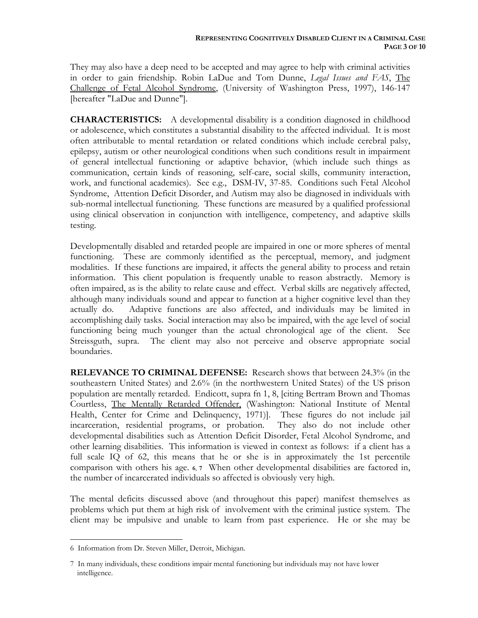They may also have a deep need to be accepted and may agree to help with criminal activities in order to gain friendship. Robin LaDue and Tom Dunne, *Legal Issues and FAS*, The Challenge of Fetal Alcohol Syndrome, (University of Washington Press, 1997), 146-147 [hereafter "LaDue and Dunne"].

**CHARACTERISTICS:** A developmental disability is a condition diagnosed in childhood or adolescence, which constitutes a substantial disability to the affected individual. It is most often attributable to mental retardation or related conditions which include cerebral palsy, epilepsy, autism or other neurological conditions when such conditions result in impairment of general intellectual functioning or adaptive behavior, (which include such things as communication, certain kinds of reasoning, self-care, social skills, community interaction, work, and functional academics). See e.g., DSM-IV, 37-85. Conditions such Fetal Alcohol Syndrome, Attention Deficit Disorder, and Autism may also be diagnosed in individuals with sub-normal intellectual functioning. These functions are measured by a qualified professional using clinical observation in conjunction with intelligence, competency, and adaptive skills testing.

Developmentally disabled and retarded people are impaired in one or more spheres of mental functioning. These are commonly identified as the perceptual, memory, and judgment modalities. If these functions are impaired, it affects the general ability to process and retain information. This client population is frequently unable to reason abstractly. Memory is often impaired, as is the ability to relate cause and effect. Verbal skills are negatively affected, although many individuals sound and appear to function at a higher cognitive level than they actually do. Adaptive functions are also affected, and individuals may be limited in accomplishing daily tasks. Social interaction may also be impaired, with the age level of social functioning being much younger than the actual chronological age of the client. See Streissguth, supra. The client may also not perceive and observe appropriate social boundaries.

**RELEVANCE TO CRIMINAL DEFENSE:** Research shows that between 24.3% (in the southeastern United States) and 2.6% (in the northwestern United States) of the US prison population are mentally retarded. Endicott, supra fn 1, 8, [citing Bertram Brown and Thomas Courtless, The Mentally Retarded Offender, (Washington: National Institute of Mental Health, Center for Crime and Delinquency, 1971)]. These figures do not include jail incarceration, residential programs, or probation. They also do not include other developmental disabilities such as Attention Deficit Disorder, Fetal Alcohol Syndrome, and other learning disabilities. This information is viewed in context as follows: if a client has a full scale IQ of 62, this means that he or she is in approximately the 1st percentile comparison with others his age. **6**, **7** When other developmental disabilities are factored in, the number of incarcerated individuals so affected is obviously very high.

The mental deficits discussed above (and throughout this paper) manifest themselves as problems which put them at high risk of involvement with the criminal justice system. The client may be impulsive and unable to learn from past experience. He or she may be

<sup>6</sup> Information from Dr. Steven Miller, Detroit, Michigan.

<sup>7</sup> In many individuals, these conditions impair mental functioning but individuals may not have lower intelligence.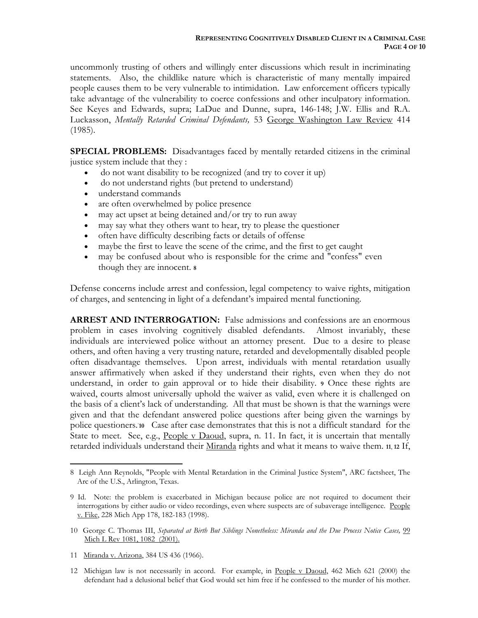uncommonly trusting of others and willingly enter discussions which result in incriminating statements. Also, the childlike nature which is characteristic of many mentally impaired people causes them to be very vulnerable to intimidation. Law enforcement officers typically take advantage of the vulnerability to coerce confessions and other inculpatory information. See Keyes and Edwards, supra; LaDue and Dunne, supra, 146-148; J.W. Ellis and R.A. Luckasson, *Mentally Retarded Criminal Defendants,* 53 George Washington Law Review 414 (1985).

**SPECIAL PROBLEMS:** Disadvantages faced by mentally retarded citizens in the criminal justice system include that they :

- do not want disability to be recognized (and try to cover it up)
- do not understand rights (but pretend to understand)
- understand commands
- are often overwhelmed by police presence
- may act upset at being detained and/or try to run away
- may say what they others want to hear, try to please the questioner
- often have difficulty describing facts or details of offense
- maybe the first to leave the scene of the crime, and the first to get caught
- may be confused about who is responsible for the crime and "confess" even though they are innocent. **<sup>8</sup>**

Defense concerns include arrest and confession, legal competency to waive rights, mitigation of charges, and sentencing in light of a defendant's impaired mental functioning.

**ARREST AND INTERROGATION:** False admissions and confessions are an enormous problem in cases involving cognitively disabled defendants. Almost invariably, these individuals are interviewed police without an attorney present. Due to a desire to please others, and often having a very trusting nature, retarded and developmentally disabled people often disadvantage themselves. Upon arrest, individuals with mental retardation usually answer affirmatively when asked if they understand their rights, even when they do not understand, in order to gain approval or to hide their disability. **9** Once these rights are waived, courts almost universally uphold the waiver as valid, even where it is challenged on the basis of a client's lack of understanding. All that must be shown is that the warnings were given and that the defendant answered police questions after being given the warnings by police questioners.<sup>10</sup> Case after case demonstrates that this is not a difficult standard for the State to meet. See, e.g., People v Daoud, supra, n. 11. In fact, it is uncertain that mentally retarded individuals understand their Miranda rights and what it means to waive them. **11**, **12** If,

11 Miranda v. Arizona, 384 US 436 (1966).

<u>.</u>

12 Michigan law is not necessarily in accord. For example, in People v Daoud, 462 Mich 621 (2000) the defendant had a delusional belief that God would set him free if he confessed to the murder of his mother.

<sup>8</sup> Leigh Ann Reynolds, "People with Mental Retardation in the Criminal Justice System", ARC factsheet, The Arc of the U.S., Arlington, Texas.

<sup>9</sup> Id. Note: the problem is exacerbated in Michigan because police are not required to document their interrogations by either audio or video recordings, even where suspects are of subaverage intelligence. People v. Fike, 228 Mich App 178, 182-183 (1998).

<sup>10</sup> George C. Thomas III, *Separated at Birth But Siblings Nonetheless: Miranda and the Due Process Notice Cases,* 99 Mich L Rev 1081, 1082 (2001).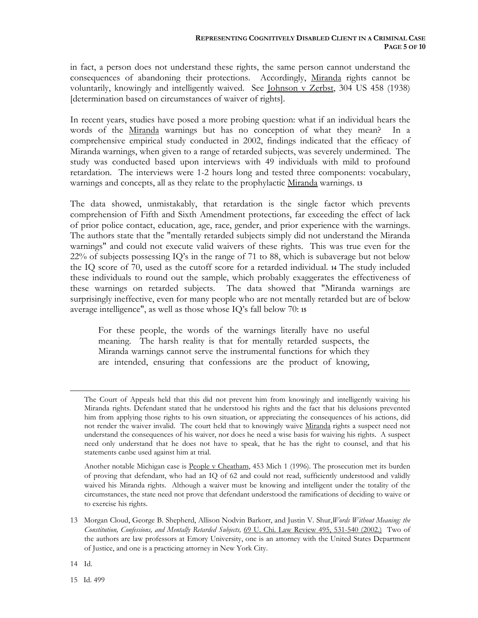in fact, a person does not understand these rights, the same person cannot understand the consequences of abandoning their protections. Accordingly, Miranda rights cannot be voluntarily, knowingly and intelligently waived. See Johnson v Zerbst, 304 US 458 (1938) [determination based on circumstances of waiver of rights].

In recent years, studies have posed a more probing question: what if an individual hears the words of the Miranda warnings but has no conception of what they mean? In a comprehensive empirical study conducted in 2002, findings indicated that the efficacy of Miranda warnings, when given to a range of retarded subjects, was severely undermined. The study was conducted based upon interviews with 49 individuals with mild to profound retardation. The interviews were 1-2 hours long and tested three components: vocabulary, warnings and concepts, all as they relate to the prophylactic Miranda warnings. **<sup>13</sup>**

The data showed, unmistakably, that retardation is the single factor which prevents comprehension of Fifth and Sixth Amendment protections, far exceeding the effect of lack of prior police contact, education, age, race, gender, and prior experience with the warnings. The authors state that the "mentally retarded subjects simply did not understand the Miranda warnings" and could not execute valid waivers of these rights. This was true even for the 22% of subjects possessing IQ's in the range of 71 to 88, which is subaverage but not below the IQ score of 70, used as the cutoff score for a retarded individual. **14** The study included these individuals to round out the sample, which probably exaggerates the effectiveness of these warnings on retarded subjects. The data showed that "Miranda warnings are surprisingly ineffective, even for many people who are not mentally retarded but are of below average intelligence", as well as those whose IQ's fall below 70: **<sup>15</sup>**

For these people, the words of the warnings literally have no useful meaning. The harsh reality is that for mentally retarded suspects, the Miranda warnings cannot serve the instrumental functions for which they are intended, ensuring that confessions are the product of knowing,

Another notable Michigan case is People v Cheatham, 453 Mich 1 (1996). The prosecution met its burden of proving that defendant, who had an IQ of 62 and could not read, sufficiently understood and validly waived his Miranda rights. Although a waiver must be knowing and intelligent under the totality of the circumstances, the state need not prove that defendant understood the ramifications of deciding to waive or to exercise his rights.

The Court of Appeals held that this did not prevent him from knowingly and intelligently waiving his Miranda rights. Defendant stated that he understood his rights and the fact that his delusions prevented him from applying those rights to his own situation, or appreciating the consequences of his actions, did not render the waiver invalid. The court held that to knowingly waive Miranda rights a suspect need not understand the consequences of his waiver, nor does he need a wise basis for waiving his rights. A suspect need only understand that he does not have to speak, that he has the right to counsel, and that his statements canbe used against him at trial.

<sup>13</sup> Morgan Cloud, George B. Shepherd, Allison Nodvin Barkorr, and Justin V. Shur,*Words Without Meaning: the Constitution, Confessions, and Mentally Retarded Subjects,* 69 U. Chi. Law Review 495, 531-540 (2002.) Two of the authors are law professors at Emory University, one is an attorney with the United States Department of Justice, and one is a practicing attorney in New York City.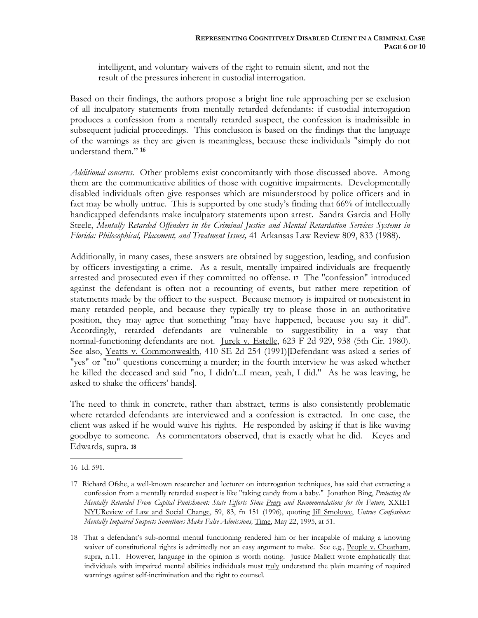intelligent, and voluntary waivers of the right to remain silent, and not the result of the pressures inherent in custodial interrogation.

Based on their findings, the authors propose a bright line rule approaching per se exclusion of all inculpatory statements from mentally retarded defendants: if custodial interrogation produces a confession from a mentally retarded suspect, the confession is inadmissible in subsequent judicial proceedings. This conclusion is based on the findings that the language of the warnings as they are given is meaningless, because these individuals "simply do not understand them." **<sup>16</sup>**

*Additional concerns*. Other problems exist concomitantly with those discussed above. Among them are the communicative abilities of those with cognitive impairments. Developmentally disabled individuals often give responses which are misunderstood by police officers and in fact may be wholly untrue. This is supported by one study's finding that 66% of intellectually handicapped defendants make inculpatory statements upon arrest. Sandra Garcia and Holly Steele, *Mentally Retarded Offenders in the Criminal Justice and Mental Retardation Services Systems in Florida: Philosophical, Placement, and Treatment Issues,* 41 Arkansas Law Review 809, 833 (1988).

Additionally, in many cases, these answers are obtained by suggestion, leading, and confusion by officers investigating a crime. As a result, mentally impaired individuals are frequently arrested and prosecuted even if they committed no offense. **17** The "confession" introduced against the defendant is often not a recounting of events, but rather mere repetition of statements made by the officer to the suspect. Because memory is impaired or nonexistent in many retarded people, and because they typically try to please those in an authoritative position, they may agree that something "may have happened, because you say it did". Accordingly, retarded defendants are vulnerable to suggestibility in a way that normal-functioning defendants are not. <u>Jurek v. Estelle</u>, 623 F 2d 929, 938 (5th Cir. 1980). See also, Yeatts v. Commonwealth, 410 SE 2d 254 (1991)[Defendant was asked a series of "yes" or "no" questions concerning a murder; in the fourth interview he was asked whether he killed the deceased and said "no, I didn't...I mean, yeah, I did." As he was leaving, he asked to shake the officers' hands].

The need to think in concrete, rather than abstract, terms is also consistently problematic where retarded defendants are interviewed and a confession is extracted. In one case, the client was asked if he would waive his rights. He responded by asking if that is like waving goodbye to someone. As commentators observed, that is exactly what he did. Keyes and Edwards, supra. **<sup>18</sup>**

<sup>16</sup> Id. 591.

<sup>17</sup> Richard Ofshe, a well-known researcher and lecturer on interrogation techniques, has said that extracting a confession from a mentally retarded suspect is like "taking candy from a baby." Jonathon Bing, *Protecting the Mentally Retarded From Capital Punishment: State Efforts Since Penry and Recommendations for the Future,* XXII:1 NYUReview of Law and Social Change, 59, 83, fn 151 (1996), quoting Jill Smolowe, *Untrue Confessions: Mentally Impaired Suspects Sometimes Make False Admissions, Time, May 22, 1995, at 51.* 

<sup>18</sup> That a defendant's sub-normal mental functioning rendered him or her incapable of making a knowing waiver of constitutional rights is admittedly not an easy argument to make. See e.g., People v. Cheatham, supra, n.11. However, language in the opinion is worth noting. Justice Mallett wrote emphatically that individuals with impaired mental abilities individuals must truly understand the plain meaning of required warnings against self-incrimination and the right to counsel.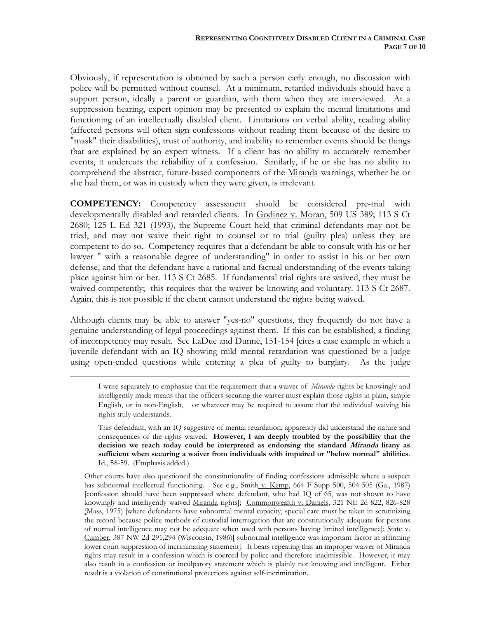Obviously, if representation is obtained by such a person early enough, no discussion with police will be permitted without counsel. At a minimum, retarded individuals should have a support person, ideally a parent or guardian, with them when they are interviewed. At a suppression hearing, expert opinion may be presented to explain the mental limitations and functioning of an intellectually disabled client. Limitations on verbal ability, reading ability (affected persons will often sign confessions without reading them because of the desire to "mask" their disabilities), trust of authority, and inability to remember events should be things that are explained by an expert witness. If a client has no ability to accurately remember events, it undercuts the reliability of a confession. Similarly, if he or she has no ability to comprehend the abstract, future-based components of the Miranda warnings, whether he or she had them, or was in custody when they were given, is irrelevant.

**COMPETENCY:** Competency assessment should be considered pre-trial with developmentally disabled and retarded clients. In Godinez v. Moran, 509 US 389; 113 S Ct 2680; 125 L Ed 321 (1993), the Supreme Court held that criminal defendants may not be tried, and may not waive their right to counsel or to trial (guilty plea) unless they are competent to do so. Competency requires that a defendant be able to consult with his or her lawyer " with a reasonable degree of understanding" in order to assist in his or her own defense, and that the defendant have a rational and factual understanding of the events taking place against him or her. 113 S Ct 2685. If fundamental trial rights are waived, they must be waived competently; this requires that the waiver be knowing and voluntary. 113 S Ct 2687. Again, this is not possible if the client cannot understand the rights being waived.

Although clients may be able to answer "yes-no" questions, they frequently do not have a genuine understanding of legal proceedings against them. If this can be established, a finding of incompetency may result. See LaDue and Dunne, 151-154 [cites a case example in which a juvenile defendant with an IQ showing mild mental retardation was questioned by a judge using open-ended questions while entering a plea of guilty to burglary. As the judge

 $\overline{a}$ 

I write separately to emphasize that the requirement that a waiver of *Miranda* rights be knowingly and intelligently made means that the officers securing the waiver must explain those rights in plain, simple English, or in non-English, or whatever may be required to assure that the individual waiving his rights truly understands.

This defendant, with an IQ suggestive of mental retardation, apparently did understand the nature and consequences of the rights waived. **However, I am deeply troubled by the possibility that the decision we reach today could be interpreted as endorsing the standard Miranda litany as sufficient when securing a waiver from individuals with impaired or "below normal" abilities**. Id., 58-59. (Emphasis added.)

Other courts have also questioned the constitutionality of finding confessions admissible where a suspect has subnormal intellectual functioning. See e.g., Smith v. Kemp, 664 F Supp 500, 504-505 (Ga., 1987) [confession should have been suppressed where defendant, who had IQ of 65, was not shown to have knowingly and intelligently waived Miranda rights]; Commonwealth v. Daniels, 321 NE 2d 822, 826-828 (Mass, 1975) [where defendants have subnormal mental capacity, special care must be taken in scrutinizing the record because police methods of custodial interrogation that are constitutionally adequate for persons of normal intelligence may not be adequate when used with persons having limited intelligence]; State v. Cumber, 387 NW 2d 291,294 (Wisconsin, 1986)[ subnormal intelligence was important factor in affirming lower court suppression of incriminating statement]. It bears repeating that an improper waiver of Miranda rights may result in a confession which is coerced by police and therefore inadmissible. However, it may also result in a confession or inculpatory statement which is plainly not knowing and intelligent. Either result is a violation of constitutional protections against self-incrimination.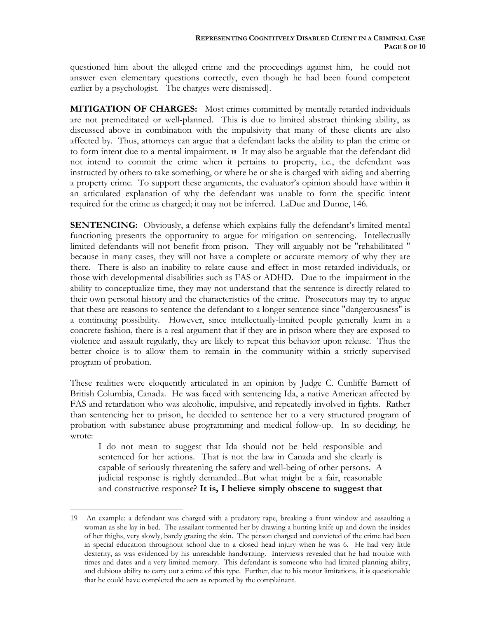questioned him about the alleged crime and the proceedings against him, he could not answer even elementary questions correctly, even though he had been found competent earlier by a psychologist. The charges were dismissed].

**MITIGATION OF CHARGES:** Most crimes committed by mentally retarded individuals are not premeditated or well-planned. This is due to limited abstract thinking ability, as discussed above in combination with the impulsivity that many of these clients are also affected by. Thus, attorneys can argue that a defendant lacks the ability to plan the crime or to form intent due to a mental impairment. **19** It may also be arguable that the defendant did not intend to commit the crime when it pertains to property, i.e., the defendant was instructed by others to take something, or where he or she is charged with aiding and abetting a property crime. To support these arguments, the evaluator's opinion should have within it an articulated explanation of why the defendant was unable to form the specific intent required for the crime as charged; it may not be inferred. LaDue and Dunne, 146.

**SENTENCING:** Obviously, a defense which explains fully the defendant's limited mental functioning presents the opportunity to argue for mitigation on sentencing. Intellectually limited defendants will not benefit from prison. They will arguably not be "rehabilitated " because in many cases, they will not have a complete or accurate memory of why they are there. There is also an inability to relate cause and effect in most retarded individuals, or those with developmental disabilities such as FAS or ADHD. Due to the impairment in the ability to conceptualize time, they may not understand that the sentence is directly related to their own personal history and the characteristics of the crime. Prosecutors may try to argue that these are reasons to sentence the defendant to a longer sentence since "dangerousness" is a continuing possibility. However, since intellectually-limited people generally learn in a concrete fashion, there is a real argument that if they are in prison where they are exposed to violence and assault regularly, they are likely to repeat this behavior upon release. Thus the better choice is to allow them to remain in the community within a strictly supervised program of probation.

These realities were eloquently articulated in an opinion by Judge C. Cunliffe Barnett of British Columbia, Canada. He was faced with sentencing Ida, a native American affected by FAS and retardation who was alcoholic, impulsive, and repeatedly involved in fights. Rather than sentencing her to prison, he decided to sentence her to a very structured program of probation with substance abuse programming and medical follow-up. In so deciding, he wrote:

I do not mean to suggest that Ida should not be held responsible and sentenced for her actions. That is not the law in Canada and she clearly is capable of seriously threatening the safety and well-being of other persons. A judicial response is rightly demanded...But what might be a fair, reasonable and constructive response? **It is, I believe simply obscene to suggest that** 

1

<sup>19</sup> An example: a defendant was charged with a predatory rape, breaking a front window and assaulting a woman as she lay in bed. The assailant tormented her by drawing a hunting knife up and down the insides of her thighs, very slowly, barely grazing the skin. The person charged and convicted of the crime had been in special education throughout school due to a closed head injury when he was 6. He had very little dexterity, as was evidenced by his unreadable handwriting. Interviews revealed that he had trouble with times and dates and a very limited memory. This defendant is someone who had limited planning ability, and dubious ability to carry out a crime of this type. Further, due to his motor limitations, it is questionable that he could have completed the acts as reported by the complainant.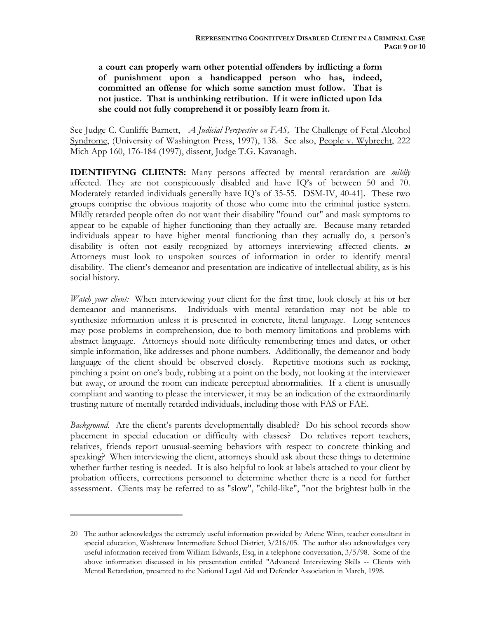**a court can properly warn other potential offenders by inflicting a form of punishment upon a handicapped person who has, indeed, committed an offense for which some sanction must follow. That is not justice. That is unthinking retribution. If it were inflicted upon Ida she could not fully comprehend it or possibly learn from it.**

See Judge C. Cunliffe Barnett, *A Judicial Perspective on FAS,*The Challenge of Fetal Alcohol Syndrome, (University of Washington Press, 1997), 138.See also, People v. Wybrecht, 222 Mich App 160, 176-184 (1997), dissent, Judge T.G. Kavanagh**.** 

**IDENTIFYING CLIENTS:** Many persons affected by mental retardation are *mildly* affected. They are not conspicuously disabled and have IQ's of between 50 and 70. Moderately retarded individuals generally have IQ's of 35-55. DSM-IV, 40-41]. These two groups comprise the obvious majority of those who come into the criminal justice system. Mildly retarded people often do not want their disability "found out" and mask symptoms to appear to be capable of higher functioning than they actually are. Because many retarded individuals appear to have higher mental functioning than they actually do, a person's disability is often not easily recognized by attorneys interviewing affected clients. **<sup>20</sup>** Attorneys must look to unspoken sources of information in order to identify mental disability. The client's demeanor and presentation are indicative of intellectual ability, as is his social history.

*Watch your client:* When interviewing your client for the first time, look closely at his or her demeanor and mannerisms. Individuals with mental retardation may not be able to synthesize information unless it is presented in concrete, literal language. Long sentences may pose problems in comprehension, due to both memory limitations and problems with abstract language. Attorneys should note difficulty remembering times and dates, or other simple information, like addresses and phone numbers. Additionally, the demeanor and body language of the client should be observed closely. Repetitive motions such as rocking, pinching a point on one's body, rubbing at a point on the body, not looking at the interviewer but away, or around the room can indicate perceptual abnormalities. If a client is unusually compliant and wanting to please the interviewer, it may be an indication of the extraordinarily trusting nature of mentally retarded individuals, including those with FAS or FAE.

*Background.* Are the client's parents developmentally disabled? Do his school records show placement in special education or difficulty with classes? Do relatives report teachers, relatives, friends report unusual-seeming behaviors with respect to concrete thinking and speaking? When interviewing the client, attorneys should ask about these things to determine whether further testing is needed. It is also helpful to look at labels attached to your client by probation officers, corrections personnel to determine whether there is a need for further assessment. Clients may be referred to as "slow", "child-like", "not the brightest bulb in the

<sup>20</sup> The author acknowledges the extremely useful information provided by Arlene Winn, teacher consultant in special education, Washtenaw Intermediate School District, 3/216/05. The author also acknowledges very useful information received from William Edwards, Esq, in a telephone conversation, 3/5/98. Some of the above information discussed in his presentation entitled "Advanced Interviewing Skills -- Clients with Mental Retardation, presented to the National Legal Aid and Defender Association in March, 1998.